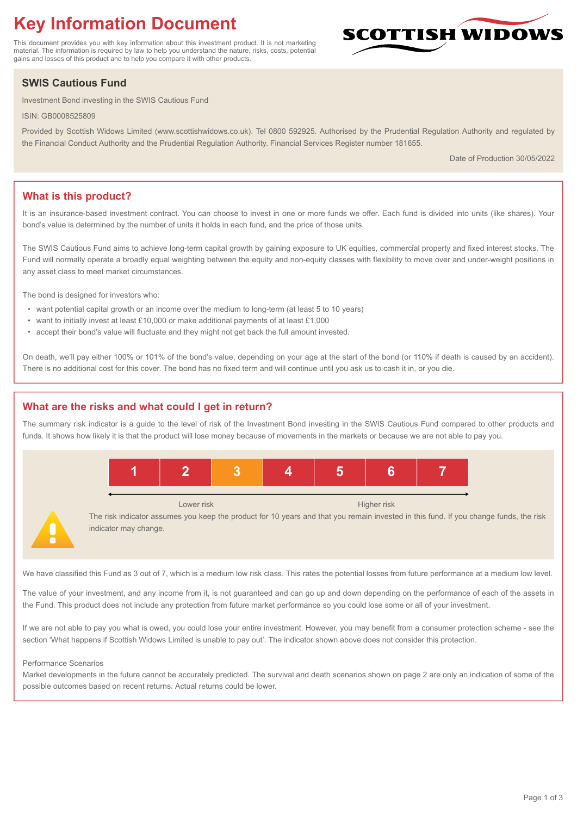# **Key Information Document**

This document provides you with key information about this investment product. It is not marketing material. The information is required by law to help you understand the nature, risks, costs, potential gains and losses of this product and to help you compare it with other products.

## **SWIS Cautious Fund**

Investment Bond investing in the SWIS Cautious Fund

ISIN: GB0008525809

Provided by Scottish Widows Limited (www.scottishwidows.co.uk). Tel 0800 592925. Authorised by the Prudential Regulation Authority and regulated by the Financial Conduct Authority and the Prudential Regulation Authority. Financial Services Register number 181655.

Date of Production 30/05/2022

SCOTTISH WIDOW

## **What is this product?**

It is an insurance-based investment contract. You can choose to invest in one or more funds we offer. Each fund is divided into units (like shares). Your bond's value is determined by the number of units it holds in each fund, and the price of those units.

The SWIS Cautious Fund aims to achieve long-term capital growth by gaining exposure to UK equities, commercial property and fixed interest stocks. The Fund will normally operate a broadly equal weighting between the equity and non-equity classes with flexibility to move over and under-weight positions in any asset class to meet market circumstances.

The bond is designed for investors who:

- want potential capital growth or an income over the medium to long-term (at least 5 to 10 years)
- want to initially invest at least £10,000 or make additional payments of at least £1,000
- accept their bond's value will fluctuate and they might not get back the full amount invested.

On death, we'll pay either 100% or 101% of the bond's value, depending on your age at the start of the bond (or 110% if death is caused by an accident). There is no additional cost for this cover. The bond has no fixed term and will continue until you ask us to cash it in, or you die.

#### **What are the risks and what could I get in return?**

The summary risk indicator is a guide to the level of risk of the Investment Bond investing in the SWIS Cautious Fund compared to other products and funds. It shows how likely it is that the product will lose money because of movements in the markets or because we are not able to pay you.



The risk indicator assumes you keep the product for 10 years and that you remain invested in this fund. If you change funds, the risk indicator may change.

We have classified this Fund as 3 out of 7, which is a medium low risk class. This rates the potential losses from future performance at a medium low level.

The value of your investment, and any income from it, is not guaranteed and can go up and down depending on the performance of each of the assets in the Fund. This product does not include any protection from future market performance so you could lose some or all of your investment.

If we are not able to pay you what is owed, you could lose your entire investment. However, you may benefit from a consumer protection scheme - see the section 'What happens if Scottish Widows Limited is unable to pay out'. The indicator shown above does not consider this protection.

#### Performance Scenarios

Market developments in the future cannot be accurately predicted. The survival and death scenarios shown on page 2 are only an indication of some of the possible outcomes based on recent returns. Actual returns could be lower.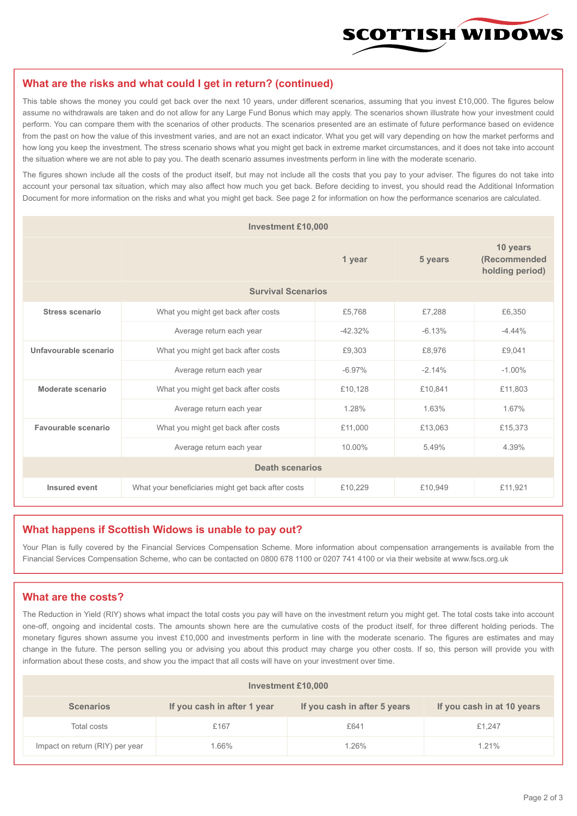

#### **What are the risks and what could I get in return? (continued)**

This table shows the money you could get back over the next 10 years, under different scenarios, assuming that you invest £10,000. The figures below assume no withdrawals are taken and do not allow for any Large Fund Bonus which may apply. The scenarios shown illustrate how your investment could perform. You can compare them with the scenarios of other products. The scenarios presented are an estimate of future performance based on evidence from the past on how the value of this investment varies, and are not an exact indicator. What you get will vary depending on how the market performs and how long you keep the investment. The stress scenario shows what you might get back in extreme market circumstances, and it does not take into account the situation where we are not able to pay you. The death scenario assumes investments perform in line with the moderate scenario.

The figures shown include all the costs of the product itself, but may not include all the costs that you pay to your adviser. The figures do not take into account your personal tax situation, which may also affect how much you get back. Before deciding to invest, you should read the Additional Information Document for more information on the risks and what you might get back. See page 2 for information on how the performance scenarios are calculated.

| <b>Investment £10,000</b> |                                                    |            |          |                                             |  |  |
|---------------------------|----------------------------------------------------|------------|----------|---------------------------------------------|--|--|
|                           |                                                    | 1 year     | 5 years  | 10 years<br>(Recommended<br>holding period) |  |  |
| <b>Survival Scenarios</b> |                                                    |            |          |                                             |  |  |
| <b>Stress scenario</b>    | £5,768<br>What you might get back after costs      |            | £7,288   | £6,350                                      |  |  |
|                           | Average return each year                           | $-42.32\%$ | $-6.13%$ | $-4.44%$                                    |  |  |
| Unfavourable scenario     | £9,303<br>What you might get back after costs      |            | £8,976   | £9,041                                      |  |  |
|                           | Average return each year                           | $-6.97\%$  | $-2.14%$ | $-1.00\%$                                   |  |  |
| Moderate scenario         | What you might get back after costs                | £10,128    | £10,841  | £11,803                                     |  |  |
|                           | Average return each year                           | 1.28%      | 1.63%    | 1.67%                                       |  |  |
| Favourable scenario       | What you might get back after costs                | £11,000    | £13,063  | £15,373                                     |  |  |
| Average return each year  |                                                    | 10.00%     | 5.49%    | 4.39%                                       |  |  |
| <b>Death scenarios</b>    |                                                    |            |          |                                             |  |  |
| Insured event             | What your beneficiaries might get back after costs | £10,229    | £10.949  | £11,921                                     |  |  |

#### **What happens if Scottish Widows is unable to pay out?**

Your Plan is fully covered by the Financial Services Compensation Scheme. More information about compensation arrangements is available from the Financial Services Compensation Scheme, who can be contacted on 0800 678 1100 or 0207 741 4100 or via their website at www.fscs.org.uk

#### **What are the costs?**

The Reduction in Yield (RIY) shows what impact the total costs you pay will have on the investment return you might get. The total costs take into account one-off, ongoing and incidental costs. The amounts shown here are the cumulative costs of the product itself, for three different holding periods. The monetary figures shown assume you invest £10,000 and investments perform in line with the moderate scenario. The figures are estimates and may change in the future. The person selling you or advising you about this product may charge you other costs. If so, this person will provide you with information about these costs, and show you the impact that all costs will have on your investment over time.

| <b>Investment £10,000</b>       |                             |                              |                            |  |  |
|---------------------------------|-----------------------------|------------------------------|----------------------------|--|--|
| <b>Scenarios</b>                | If you cash in after 1 year | If you cash in after 5 years | If you cash in at 10 years |  |  |
| Total costs                     | £167                        | £641                         | £1,247                     |  |  |
| Impact on return (RIY) per year | $.66\%$                     | 1.26%                        | 1.21%                      |  |  |